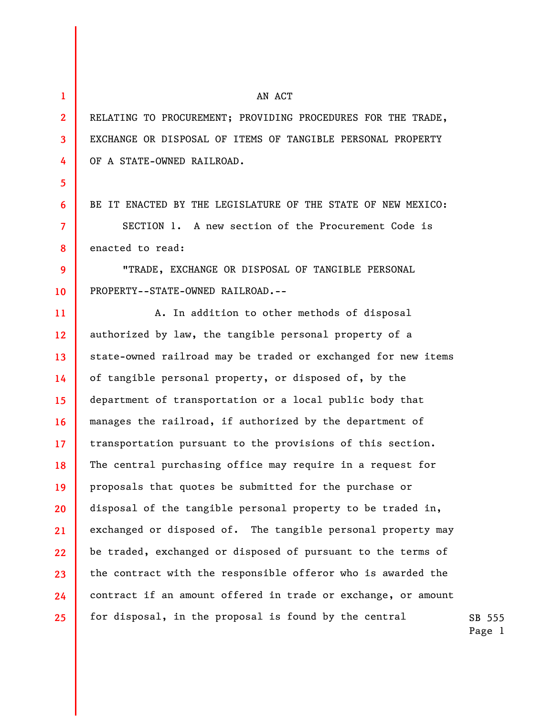**1 2 3 4 5 6 7 8 9 10 11 12 13 14 15 16 17 18 19 20 21 22 23 24 25**  AN ACT RELATING TO PROCUREMENT; PROVIDING PROCEDURES FOR THE TRADE, EXCHANGE OR DISPOSAL OF ITEMS OF TANGIBLE PERSONAL PROPERTY OF A STATE-OWNED RAILROAD. BE IT ENACTED BY THE LEGISLATURE OF THE STATE OF NEW MEXICO: SECTION 1. A new section of the Procurement Code is enacted to read: "TRADE, EXCHANGE OR DISPOSAL OF TANGIBLE PERSONAL PROPERTY--STATE-OWNED RAILROAD.-- A. In addition to other methods of disposal authorized by law, the tangible personal property of a state-owned railroad may be traded or exchanged for new items of tangible personal property, or disposed of, by the department of transportation or a local public body that manages the railroad, if authorized by the department of transportation pursuant to the provisions of this section. The central purchasing office may require in a request for proposals that quotes be submitted for the purchase or disposal of the tangible personal property to be traded in, exchanged or disposed of. The tangible personal property may be traded, exchanged or disposed of pursuant to the terms of the contract with the responsible offeror who is awarded the contract if an amount offered in trade or exchange, or amount for disposal, in the proposal is found by the central

SB 555 Page 1